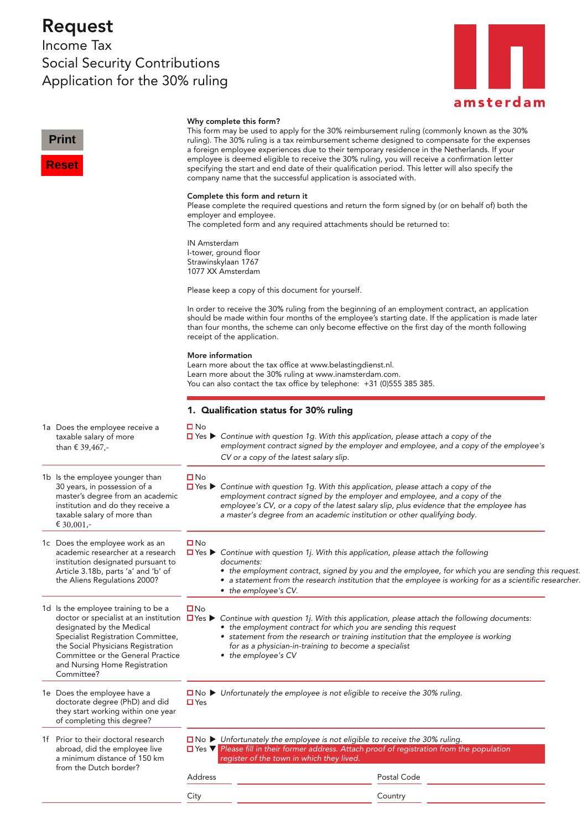## Request

Income Tax Social Security Contributions Application for the 30% ruling



| <b>Print</b><br><b>Reset</b>                                                                                                                                                                                                     |                                                                                                                                                                                                                    | Why complete this form?<br>This form may be used to apply for the 30% reimbursement ruling (commonly known as the 30%<br>ruling). The 30% ruling is a tax reimbursement scheme designed to compensate for the expenses<br>a foreign employee experiences due to their temporary residence in the Netherlands. If your<br>employee is deemed eligible to receive the 30% ruling, you will receive a confirmation letter<br>specifying the start and end date of their qualification period. This letter will also specify the<br>company name that the successful application is associated with. |  |  |
|----------------------------------------------------------------------------------------------------------------------------------------------------------------------------------------------------------------------------------|--------------------------------------------------------------------------------------------------------------------------------------------------------------------------------------------------------------------|--------------------------------------------------------------------------------------------------------------------------------------------------------------------------------------------------------------------------------------------------------------------------------------------------------------------------------------------------------------------------------------------------------------------------------------------------------------------------------------------------------------------------------------------------------------------------------------------------|--|--|
|                                                                                                                                                                                                                                  |                                                                                                                                                                                                                    | Complete this form and return it<br>Please complete the required questions and return the form signed by (or on behalf of) both the<br>employer and employee.<br>The completed form and any required attachments should be returned to:                                                                                                                                                                                                                                                                                                                                                          |  |  |
|                                                                                                                                                                                                                                  | <b>IN Amsterdam</b>                                                                                                                                                                                                | I-tower, ground floor<br>Strawinskylaan 1767<br>1077 XX Amsterdam                                                                                                                                                                                                                                                                                                                                                                                                                                                                                                                                |  |  |
| Please keep a copy of this document for yourself.                                                                                                                                                                                |                                                                                                                                                                                                                    |                                                                                                                                                                                                                                                                                                                                                                                                                                                                                                                                                                                                  |  |  |
|                                                                                                                                                                                                                                  |                                                                                                                                                                                                                    | In order to receive the 30% ruling from the beginning of an employment contract, an application<br>should be made within four months of the employee's starting date. If the application is made later<br>than four months, the scheme can only become effective on the first day of the month following<br>receipt of the application.                                                                                                                                                                                                                                                          |  |  |
|                                                                                                                                                                                                                                  | More information<br>Learn more about the tax office at www.belastingdienst.nl.<br>Learn more about the 30% ruling at www.inamsterdam.com.<br>You can also contact the tax office by telephone: +31 (0)555 385 385. |                                                                                                                                                                                                                                                                                                                                                                                                                                                                                                                                                                                                  |  |  |
|                                                                                                                                                                                                                                  | 1. Qualification status for 30% ruling                                                                                                                                                                             |                                                                                                                                                                                                                                                                                                                                                                                                                                                                                                                                                                                                  |  |  |
| 1a Does the employee receive a<br>taxable salary of more<br>than $\epsilon$ 39,467,-                                                                                                                                             | $\square$ No                                                                                                                                                                                                       | $\Box$ Yes $\blacktriangleright$ Continue with question 1g. With this application, please attach a copy of the<br>employment contract signed by the employer and employee, and a copy of the employee's<br>CV or a copy of the latest salary slip.                                                                                                                                                                                                                                                                                                                                               |  |  |
| 1b Is the employee younger than<br>30 years, in possession of a<br>master's degree from an academic<br>institution and do they receive a<br>taxable salary of more than<br>€ 30,001,-                                            | $\square$ No                                                                                                                                                                                                       | $\Box$ Yes $\blacktriangleright$ Continue with question 1g. With this application, please attach a copy of the<br>employment contract signed by the employer and employee, and a copy of the<br>employee's CV, or a copy of the latest salary slip, plus evidence that the employee has<br>a master's degree from an academic institution or other qualifying body.                                                                                                                                                                                                                              |  |  |
| 1c Does the employee work as an<br>academic researcher at a research<br>institution designated pursuant to<br>Article 3.18b, parts 'a' and 'b' of<br>the Aliens Regulations 2000?                                                | <b>□</b> No                                                                                                                                                                                                        | $\Box$ Yes $\blacktriangleright$ Continue with question 1j. With this application, please attach the following<br>documents:<br>• the employment contract, signed by you and the employee, for which you are sending this request.<br>• a statement from the research institution that the employee is working for as a scientific researcher.<br>• the employee's CV.                                                                                                                                                                                                                           |  |  |
| 1d Is the employee training to be a<br>designated by the Medical<br>Specialist Registration Committee,<br>the Social Physicians Registration<br>Committee or the General Practice<br>and Nursing Home Registration<br>Committee? | $\square$ No                                                                                                                                                                                                       | doctor or specialist at an institution $\Box$ Yes $\blacktriangleright$ Continue with question 1j. With this application, please attach the following documents:<br>• the employment contract for which you are sending this request<br>• statement from the research or training institution that the employee is working<br>for as a physician-in-training to become a specialist<br>• the employee's CV                                                                                                                                                                                       |  |  |
| 1e Does the employee have a<br>doctorate degree (PhD) and did<br>they start working within one year<br>of completing this degree?                                                                                                | $\Box$ Yes                                                                                                                                                                                                         | $\Box$ No $\blacktriangleright$ Unfortunately the employee is not eligible to receive the 30% ruling.                                                                                                                                                                                                                                                                                                                                                                                                                                                                                            |  |  |
| 1f Prior to their doctoral research<br>abroad, did the employee live<br>a minimum distance of 150 km<br>from the Dutch border?                                                                                                   |                                                                                                                                                                                                                    | $\square$ No $\blacktriangleright$ Unfortunately the employee is not eligible to receive the 30% ruling.<br><b>D</b> Yes <b>V</b> Please fill in their former address. Attach proof of registration from the population<br>register of the town in which they lived.                                                                                                                                                                                                                                                                                                                             |  |  |
|                                                                                                                                                                                                                                  | Address                                                                                                                                                                                                            | Postal Code                                                                                                                                                                                                                                                                                                                                                                                                                                                                                                                                                                                      |  |  |
|                                                                                                                                                                                                                                  | City                                                                                                                                                                                                               | Country                                                                                                                                                                                                                                                                                                                                                                                                                                                                                                                                                                                          |  |  |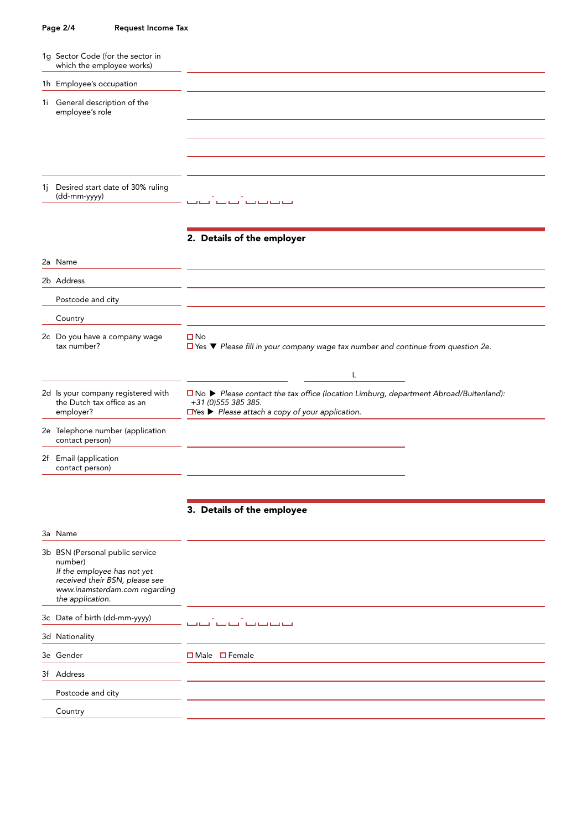## Page 2/4 Request Income Tax

| 1q Sector Code (for the sector in<br>which the employee works)                                                                                                   |                                                                                                                                                                                              |
|------------------------------------------------------------------------------------------------------------------------------------------------------------------|----------------------------------------------------------------------------------------------------------------------------------------------------------------------------------------------|
| 1h Employee's occupation                                                                                                                                         |                                                                                                                                                                                              |
| 1i General description of the<br>employee's role                                                                                                                 |                                                                                                                                                                                              |
|                                                                                                                                                                  |                                                                                                                                                                                              |
| 1j Desired start date of 30% ruling<br>(dd-mm-yyyy)                                                                                                              | نسا نسا نسا نسا - ن                                                                                                                                                                          |
|                                                                                                                                                                  | 2. Details of the employer                                                                                                                                                                   |
| 2a Name                                                                                                                                                          |                                                                                                                                                                                              |
| 2b Address                                                                                                                                                       |                                                                                                                                                                                              |
| Postcode and city                                                                                                                                                |                                                                                                                                                                                              |
| Country                                                                                                                                                          |                                                                                                                                                                                              |
| 2c Do you have a company wage<br>tax number?                                                                                                                     | $\square$ No<br>$\Box$ Yes $\nabla$ Please fill in your company wage tax number and continue from question 2e.                                                                               |
|                                                                                                                                                                  | L                                                                                                                                                                                            |
| 2d Is your company registered with<br>the Dutch tax office as an<br>employer?                                                                                    | □ No ▶ Please contact the tax office (location Limburg, department Abroad/Buitenland):<br>+31 (0) 555 385 385.<br>$\Box$ Yes $\blacktriangleright$ Please attach a copy of your application. |
| 2e Telephone number (application<br>contact person)                                                                                                              |                                                                                                                                                                                              |
| 2f Email (application<br>contact person)                                                                                                                         |                                                                                                                                                                                              |
|                                                                                                                                                                  | 3. Details of the employee                                                                                                                                                                   |
| 3a Name                                                                                                                                                          |                                                                                                                                                                                              |
| 3b BSN (Personal public service<br>number)<br>If the employee has not yet<br>received their BSN, please see<br>www.inamsterdam.com regarding<br>the application. |                                                                                                                                                                                              |
| 3c Date of birth (dd-mm-yyyy)                                                                                                                                    |                                                                                                                                                                                              |
| 3d Nationality                                                                                                                                                   |                                                                                                                                                                                              |
| 3e Gender                                                                                                                                                        | $\Box$ Male $\Box$ Female                                                                                                                                                                    |
| 3f Address                                                                                                                                                       |                                                                                                                                                                                              |
| Postcode and city                                                                                                                                                |                                                                                                                                                                                              |
| Country                                                                                                                                                          |                                                                                                                                                                                              |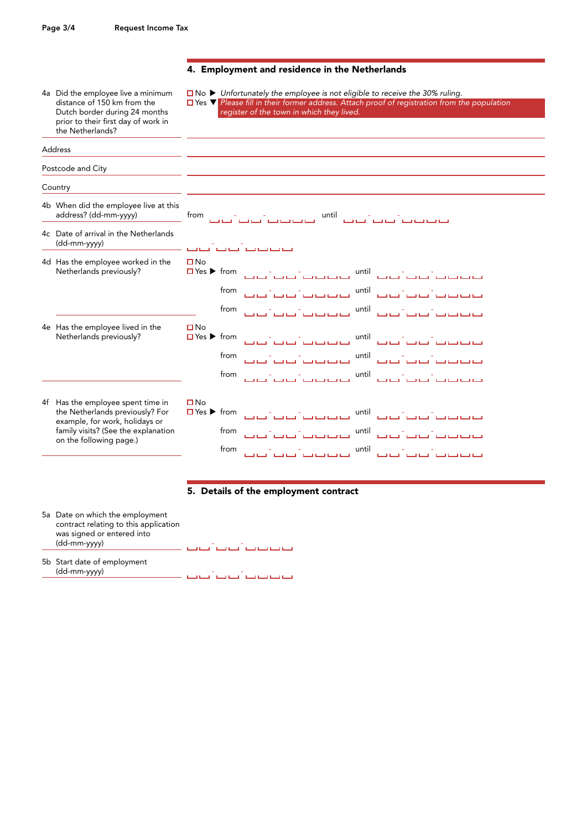prior to their first day of work in

the Netherlands?

Address

## 4. Employment and residence in the Netherlands

4a Did the employee live a minimum  $\Box$  No  $\triangleright$  Unfortunately the employee is not eligible to receive the 30% ruling.<br>distance of 150 km from the  $\Box$  Yes  $\triangleright$  Please fill in their former address. Attach proof of regi

distance of 150 km from the Yes *Please fill in their former addr*ess. Attach proof of registration from the population Dutch border during 24 months register of the town in which they lived.

Postcode and City **Country** 4b When did the employee live at this address? (dd-mm-yyyy) from - - until - - 4c Date of arrival in the Netherlands (dd-mm-yyyy) - - 4d Has the employee worked in the  $\Box$  No Netherlands previously? Yes from - - until - from - - until - from المستحقق المستحقق المستحقق المستحقق المستحقق المستحقق المستحقق المستحقق المستحقق المستحقة المست 4e Has the employee lived in the  $\Box$  No Netherlands previously? Yes from - - until - - ساب بن است تناسل الله بن الله بن الله عليه الله من الله عليه الله عليه الله عليه الله عليه الله عليه الله عليه<br>الله عليه الله عليه الله عليه الله عليه الله عليه الله عليه الله عليه الله عليه الله عليه الله عليه الله عليه from - - until - - 4f Has the employee spent time in  $\Box$  No the Netherlands previously? For  $\Box$  Yes  $\blacktriangleright$  from  $\Box$  -  $\Box$  -  $\Box$  -  $\Box$  -  $\Box$  -  $\Box$  -  $\Box$  -  $\Box$  -  $\Box$  -  $\Box$  -  $\Box$  -  $\Box$  -  $\Box$  -  $\Box$  -  $\Box$  -  $\Box$  -  $\Box$  -  $\Box$  -  $\Box$  -  $\Box$  -  $\Box$  -  $\Box$  -  $\Box$  -  $\Box$  example, for work, holidays or  $f$ amily visits? (See the explanation from  $f$  -  $f$  -  $f$  -  $f$  -  $f$  -  $f$  -  $f$  -  $f$  -  $f$  -  $f$  -  $f$  -  $f$  -  $f$  -  $f$  -  $f$  -  $f$  -  $f$  -  $f$  -  $f$  -  $f$  -  $f$  -  $f$  -  $f$  -  $f$  -  $f$  -  $f$  -  $f$  -  $f$  -  $f$  -  $f$  on the following page.) سانت بن بن الن بن الله الن بن بن بن الن الن الن الن الله عليه الله من الن الله عليه الله عليه الله عليه الله ع<br>الله عليه الله عليه الله عليه الله عليه الله عليه الله عليه الله عليه الله عليه الله عليه الله عليه الله عليه

- 5. Details of the employment contract
- 5a Date on which the employment contract relating to this application was signed or entered into  $\frac{1}{\sqrt{1-\frac{1}{2}}\left(1-\frac{1}{2}\right)}$  -  $\frac{1}{\sqrt{1-\frac{1}{2}}\left(1-\frac{1}{2}\right)}$  -  $\frac{1}{\sqrt{1-\frac{1}{2}}\left(1-\frac{1}{2}\right)}$
- 5b Start date of employment (dd-mm-yyyy) - -